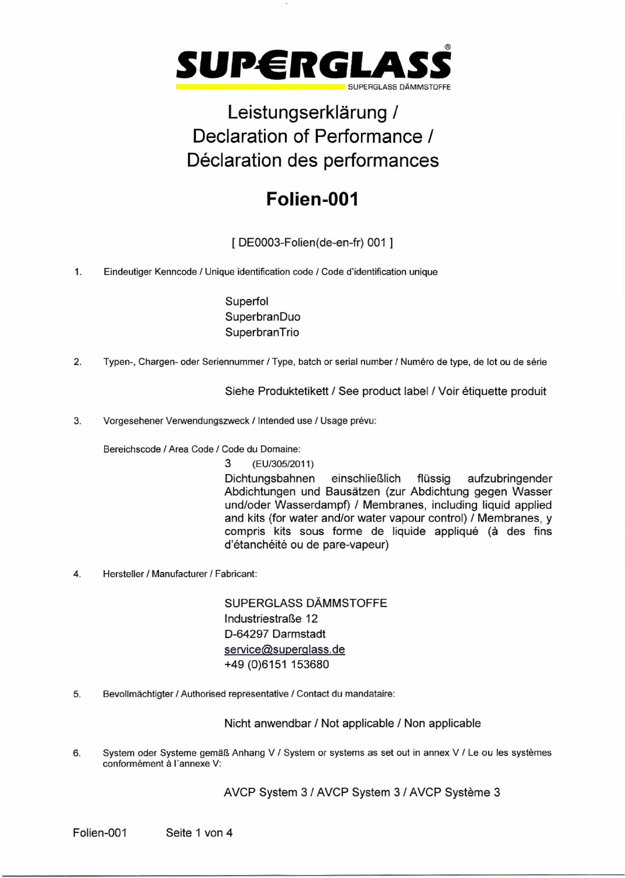

# Leistungserklärung / Declaration of Performance / Déclaration des performances

# **Folien-001**

[ DE0003-Folien(de-en-fr) 001 ]

1. Eindeutiger Kenncode / Unique identification code / Code d'identification unique

Superfol **SuperbranDuo SuperbranTrio** 

2. Typen-, Chargen- oder Seriennummer / Type, batch or serial number / Numéro de type, de lot ou de série

Siehe Produktetikett / See product label / Voir étiquette produit

3. Vorgesehener Verwendungszweck / Intended use / Usage prévu:

Bereichscode / Area Code / Code du Domaine:

3 (EU/305/2011)

Dichtungsbahnen einschließlich flüssig aufzubringender Abdichtungen und Bausätzen (zur Abdichtung gegen Wasser und/oder Wasserdampf) / Membranes, including liquid applied and kits (for water and/or water vapour control) / Membranes, y compris kits sous forme de liquide appliqué (à des fins d'étanchéité ou de pare-vapeur)

4. Hersteller / Manufacturer / Fabricant:

SUPERGLASS DÄMMSTOFFE Industriestraße 12 D-64297 Darmstadt service@superglass.de +49 (0)6151 153680

5. Bevollmächtigter / Authorised representative / Contact du mandataire:

Nicht anwendbar / Not applicable / Non applicable

6. System oder Systeme gemäß Anhang V / System or systems as set out in annex V / Le ou les systemes conformément à l'annexe V:

AVCP System 3 / AVCP System 3 / AVCP Systeme 3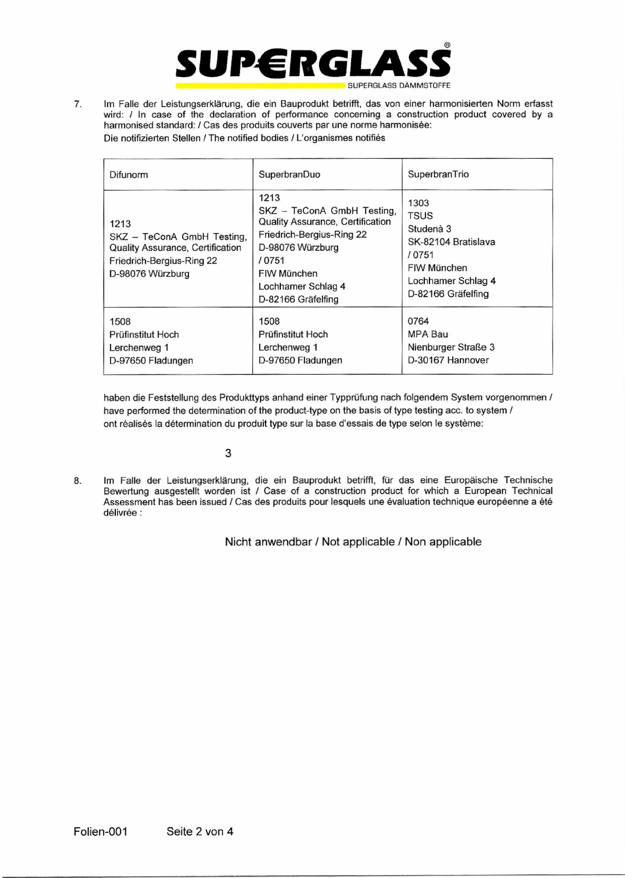

7. Im Falle der Leistungserklärung, die ein Bauprodukt betrifft, das von einer harmonisierten Norm erfasst wird: / In case of the declaration of performance concerning a construction product covered by a harmonised standard: / Cas des produits couverts par une norme harmonisée: Die notifizierten Stellen / The notified bodies / L'organismes notifies

| Difunorm                                                                                                                       | SuperbranDuo                                                                                                                                                                                 | SuperbranTrio                                                                                                                |
|--------------------------------------------------------------------------------------------------------------------------------|----------------------------------------------------------------------------------------------------------------------------------------------------------------------------------------------|------------------------------------------------------------------------------------------------------------------------------|
| 1213<br>SKZ - TeConA GmbH Testing,<br><b>Quality Assurance, Certification</b><br>Friedrich-Bergius-Ring 22<br>D-98076 Würzburg | 1213<br>SKZ - TeConA GmbH Testing,<br>Quality Assurance, Certification<br>Friedrich-Bergius-Ring 22<br>D-98076 Würzburg<br>/ 0751<br>FIW München<br>Lochhamer Schlag 4<br>D-82166 Gräfelfing | 1303<br><b>TSUS</b><br>Studenà 3<br>SK-82104 Bratislava<br>/ 0751<br>FIW München<br>Lochhamer Schlag 4<br>D-82166 Gräfelfing |
| 1508<br>Prüfinstitut Hoch<br>Lerchenweg 1<br>D-97650 Fladungen                                                                 | 1508<br>Prüfinstitut Hoch<br>Lerchenweg 1<br>D-97650 Fladungen                                                                                                                               | 0764<br>MPA Bau<br>Nienburger Straße 3<br>D-30167 Hannover                                                                   |

haben die Feststellung des Produkttyps anhand einer Typprüfung nach folgendem System vorgenommen / have performed the determination of the product-type on the basis of type testing acc. to system / ont réalisés la détermination du produit type sur la base d'essais de type selon le système:

## 3

8. Im Falle der Leistungserklärung. die ein Bauprodukt betrifft, für das eine Europäische Technische Bewertung ausgestellt worden ist / Case of a construction product for which a European Technical Assessment has been issued / Cas des produits pour lesquels une évaluation technique européenne a été délivrée :

### Nicht anwendbar / Not applicable / Non applicable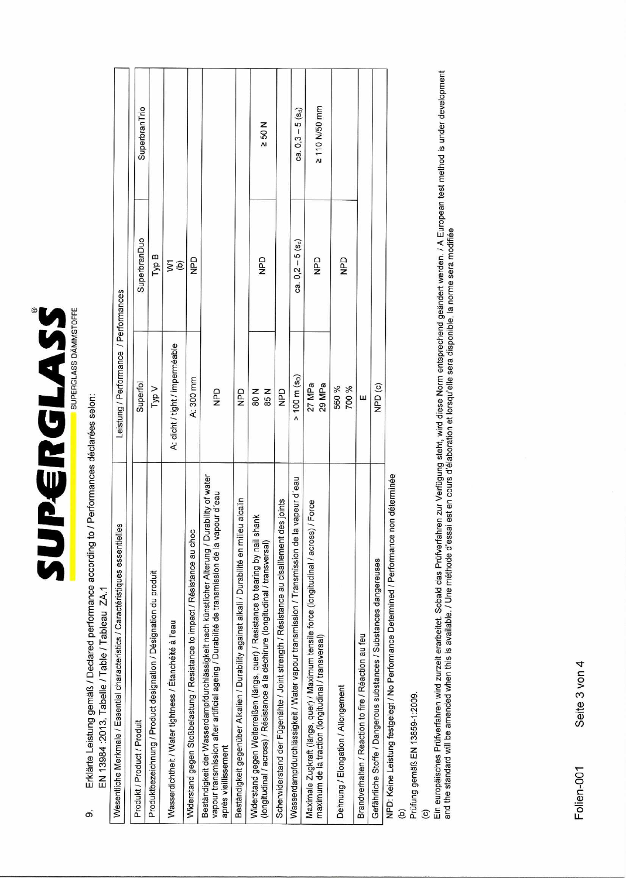

# Erklärte Leistung gemäß / Declared performance according to / Performances déclarées selon: EN 13984 : 2013, Tabelle / Table / Tableau ZA.1 တ

 $\mathbf{I}$  $\overline{\phantom{a}}$  $\frac{1}{2}$ 

| Wesentliche Merkmale / Essential characteristics / Caractéristiques essentielles                                                                                                                                       | Leistung / Performance / Performances |                     |                      |  |
|------------------------------------------------------------------------------------------------------------------------------------------------------------------------------------------------------------------------|---------------------------------------|---------------------|----------------------|--|
| Produkt / Product / Produit                                                                                                                                                                                            | Superfol                              | SuperbranDuo        | SuperbranTrio        |  |
| Produktbezeichnung / Product designation / Désignation du produit                                                                                                                                                      | Typ V                                 | Typ B               |                      |  |
| Wasserdichtheit / Water tightness / Etanchéité à l'eau                                                                                                                                                                 | A: dicht / tight / imperméable        | ĝζ                  |                      |  |
| Widerstand gegen Stoßbelastung / Resistance to impact / Résistance au choc                                                                                                                                             | A: 300 mm                             | QdN                 |                      |  |
| Beständigkeit der Wasserdampfdurchlässigkeit nach künstlicher Alterung / Durability of water<br>vapour d'eau<br>vapour transmission after artificial ageing / Durabilité de transmission de la<br>apres vieillissement | $\frac{D}{2}$                         |                     |                      |  |
| Beständigkeit gegenüber Alkalien / Durability against alkali / Durabilité en milieu alcalin                                                                                                                            | QdN                                   |                     |                      |  |
| shank<br>Widerstand gegen Weiterreißen (längs, quer) / Resistance to tearing by nail<br>(longitudinal / across) / Résistance à la déchirure (longitudinal / transversal)                                               | <b>N08</b><br>85 N                    | QdN                 | $\times$ 50 N        |  |
| Scherwiderstand der Fügenähte / Joint strength / Résistance au cisaillement des joints                                                                                                                                 | QdN                                   |                     |                      |  |
| Wasserdampfdurchlässigkeit / Water vapour transmission / Transmission de la vapeur d'eau                                                                                                                               | $> 100 \text{ m (sD)}$                | $ca. 0,2 - 5 (S_d)$ | $ca. 0, 3 - 5 (s_d)$ |  |
| Maximale Zugkraft (längs, quer) / Maximum tensile force (longitudinal / across) / Force<br>maximum de la traction (longitudinal / transversal)                                                                         | 27 MPa<br>29 MPa                      | <b>Qd</b>           | 2 110 N/50 mm        |  |
| Dehnung / Elongation / Allongement                                                                                                                                                                                     | 560%<br>% 00Z                         | <b>Od</b>           |                      |  |
| Brandverhalten / Reaction to fire / Réaction au feu                                                                                                                                                                    | ш                                     |                     |                      |  |
| Gefährliche Stoffe / Dangerous substances / Substances dangereuses                                                                                                                                                     | NPD <sub>(c)</sub>                    |                     |                      |  |
| NPD: Keine Leistung festgelegt / No Performance Determined / Performance non déterminée                                                                                                                                |                                       |                     |                      |  |

(b)<br>Prüfung gemäß EN 13859-1:2009.

(c)<br>Ein europäisches Prüfverfahren wird zurzeit erarbeitet. Sobald das Prüfverfahren zur Verfügung steht, wird diese Norm entsprechend geändert werden. / A European test method is under development<br>and the standard will be